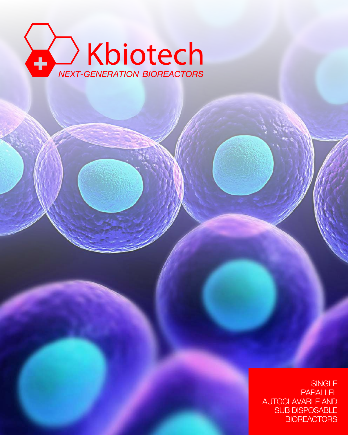

**SINGLE** PARALLEL AUTOCLAVABLE AND SUB DISPOSABLE **BIOREACTORS**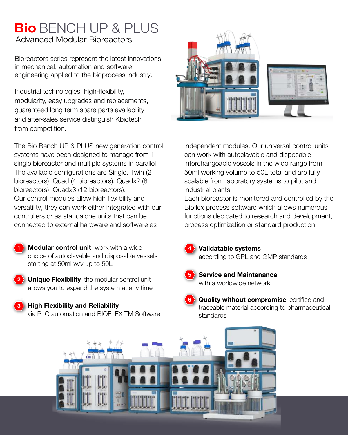## **Bio** BENCH UP & PLUS Advanced Modular Bioreactors

Bioreactors series represent the latest innovations in mechanical, automation and software engineering applied to the bioprocess industry.

Industrial technologies, high-flexibility, modularity, easy upgrades and replacements, guaranteed long term spare parts availability and after-sales service distinguish Kbiotech from competition.

The Bio Bench UP & PLUS new generation control systems have been designed to manage from 1 single bioreactor and multiple systems in parallel. The available configurations are Single, Twin (2 bioreactors), Quad (4 bioreactors), Quadx2 (8 bioreactors), Quadx3 (12 bioreactors). Our control modules allow high flexibility and versatility, they can work either integrated with our controllers or as standalone units that can be connected to external hardware and software as

- **1 Modular control unit** work with a wide choice of autoclavable and disposable vessels starting at 50ml w/v up to 50L
- **2 Unique Flexibility** the modular control unit allows you to expand the system at any time
- **3 High Flexibility and Reliability** via PLC automation and BIOFLEX TM Software



independent modules. Our universal control units can work with autoclavable and disposable interchangeable vessels in the wide range from 50ml working volume to 50L total and are fully scalable from laboratory systems to pilot and industrial plants.

Each bioreactor is monitored and controlled by the Bioflex process software which allows numerous functions dedicated to research and development, process optimization or standard production.



- **Validatable systems** according to GPL and GMP standards
- **5**

**6**

- with a worldwide network **Service and Maintenance**
- **Quality without compromise** certified and traceable material according to pharmaceutical standards

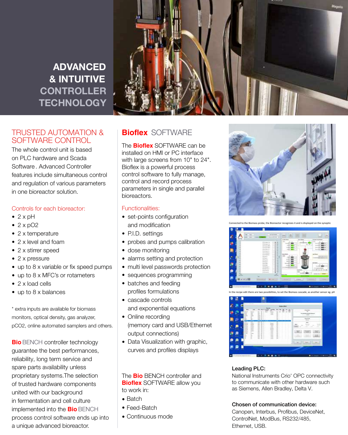**ADVANCED**  ADVANCED ADVANCED ADVANCED **& INTUITIVE**  & INTUITIVE & INTUITIVE & INTUITIVE **CONTROLLER TECHNOLOGY** 



### TRUSTED AUTOMATION & SOFTWARE CONTROL

The whole control unit is based  $\begin{array}{c|c} & & \end{array}$ on PLC hardware and Scada on PLC hardware and Scada on PLC hardware and Scada on PLC hardware and Scada Software . Advanced Controller Software . Advanced Controller Software . Advanced Controller Software . Advanced Controller features include simultaneous control features include simultaneous control features include simultaneous control features include simultaneous control and regulation of various parameters and regulation of various parameters and regulation of various parameters and regulation of various parameters in one bioreactor solution. in one bioreactor solution. in one bioreactor solution. in one bioreactor solution.

### Controls for each bioreactor: Controls for each bioreactor: Controls for each bioreactor: Controls for each bioreactor:

- 2 x pH 2 x pH
- 2 x pO2 2 x pO2 2 x pO2
- 2 x temperature 2 x temperature 2 x temperature 2 x temperature
- 2 x level and foam 2 x level and foam 2 x level and foam 2 x level and foam
- 2 x stirrer speed 2 x stirrer speed 2 x stirrer speed 2 x stirrer speed
- 2 x pressure 2 x pressure 2 x pressure  $\overline{P}$
- up to 8 x variable or fix speed pumps up to 8 x variable or fix speed pumps up to 8 x variable or fix speed pumps up to 8 x variable or fix speed pumps
- up to 8 x MFC's or rotameters up to 8 x MFC's or rotameters up to 8 x MFC's or rotameters up to 8 x MFC's or rotameters
- 2 x load cells 2 x load cells 2 x load cells 2 x load cells
- up to 8 x balances up to 8 x balances up to 8 x balances up to 8 x balances

\* extra inputs are available for biomass \* extra inputs are available for biomass \* extra inputs are available for biomass \* extra inputs are available for biomass monitors, optical density, gas analyzer, monitors, optical density, gas analyzer, monitors, optical density, gas analyzer, monitors, optical density, gas analyzer, pCO2, online automated samplers and others. pCO2, online automated samplers and others. pCO2, online automated samplers and others. pCO2, online automated samplers and others.

**Bio** BENCH controller technology guarantee the best performances, guarantee the best performances, guarantee the best performances, guarantee the best performances, reliability, long term service and **reliability**, long term service and spare parts availability unless spare parts availability unless spare parts availability unless spare parts availability unless proprietary systems.The selection proprietary systems.The selection proprietary systems.The selection proprietary systems.The selection of trusted hardware components **Bi** united with our background united with our background united with our background united with our background in fermentation and cell culture in fermentation and cell culture in fermentation and cell culture in fermentation and cell culture implemented into the **Bio** BENCH implemented into the **Bio** BENCH implemented into the **Bio** BENCH implemented into the **Bio** BENCH process control software ends up into  $\begin{array}{|c|c|} \hline \textbf{.} & \textbf{.} \end{array}$ a unique advanced bioreactor. a unique advanced bioreactor. a unique advanced bioreactor. a unique advanced bioreactor.

## $\mathsf{Bioflex}$  Software

The **Bioflex** SOFTWARE can be installed on HMI or PC interface with large screens from  $10"$  to  $24"$ . Bioflex is a powerful process Bionex is a powerful process<br>control software to fully manage, control software to fully manage, control and record process parameters in single and parallel bioreactors. bioreactor.

### Functionalities: Functionalities: Functionalities: Functionalities:

- set-points configuration set-points configuration set-points configuration set-points configuration and modification and modification and modification and modification
- P.I.D. settings P.I.D. settings P.I.D. settings P.I.D. settings
- probes and pumps calibration probes and pumps calibration probes and pumps calibration probes and pumps calibration
- dose monitoring dose monitoring dose monitoring dose monitoring
- alarms setting and protection
- multi level passwords protection
- sequences programming
- batches and feeding profiles formulations
- cascade controls and exponential equations
- Online recording<br>
and exponential equations of the set of the set of the set of the set of the set of the set of the set of the set of the set of the set of the set of the set of the set of the set of the set of the set of (memory card and USB/Ethernet output connections) and USB/Ethernetic
- Data Visualization with graphic, curves and profiles displays

**The Bio** BENCH controller and **Bioflex** SOFTWARE allow you to countries to work in:

- $\bullet$  Batch  $E(G)$  unit is equipped with  $E(G)$  $\Gamma$
- Feed-Batch Batch Batch
- Continuous mode



Connected to the Biomass probe, the Bioreactor recognizes it and is displayed on the synoptic<br>
Fermion synoptic synoptic synoptic synoptic



**Tration parameter in the recipe edit there are two possibilities, to set the Biomass cascade, as another sensor eg. pH** 



### Leading PLC:

National Instruments Crio' OPC connectivity to communicate with other hardware such as Siemens, Allen Bradley, Delta V. Bradley, Delta V. Bradley, Delta V. Bradley, Delta V.

### Chosen of communication device: Chosen of communication device: Chosen of communication device: Chosen of communication device:

Canopen, Interbus, Profibus, DeviceNet, Canopen, Interbus, Profibus, DeviceNet, Canopen, Interbus, Profibus, DeviceNet, Canopen, Interbus, Profibus, DeviceNet, ControlNet, ModBus, RS232/485, ControlNet, ModBus, RS232/485, ControlNet, ModBus, RS232/485, ControlNet, ModBus, RS232/485, Ethernet, USB.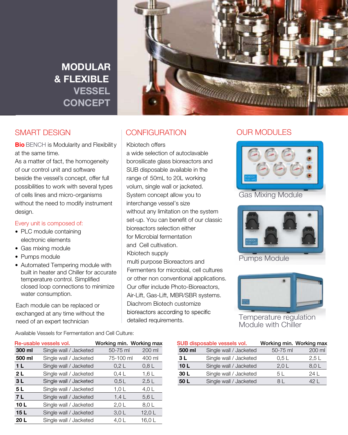## MODULAR MODULAR **MODULAR** MODULAR MODULAR & FLEXIBLE & FLEXIBLE **& FLEXIBLE** & FLEXIBLE & FLEXIBLE VESSEL VESSEL **VESSEL**  VESSEL VESSEL CONCEPT CONCEPT **CONCEPT** CONCEPT CONCEPT



## SMART DESIGN SMART DESIGN SMART DESIGN SMART DESIGN

**Bio** BENCH is Modularity and Flexibility at the same time. **Bio** BENCH is Modularity and Flexibility | Kbio<br> **Bio** BENCH is

at the same time.<br>As a matter of fact, the homogeneity of our control unit and software of our control unit and software beside the vessel's concept, offer full of our control unit and software of our control unit and software beside the vessel's concept, offer full the vessell of the vessel's concept, offer full possibilities to work with several types void<br>of cells lines and micro-organisms Sys of cells lines and micro-organisms viewed in the micro-organisms design. with the need to modify instrument design.  $A = \begin{bmatrix} 1 & 1 & 1 \\ 1 & 1 & 1 \\ 1 & 1 & 1 \end{bmatrix}$  $\frac{1}{2}$  cells in the cells lines and micro-organisms and  $\frac{1}{2}$  $\frac{1}{2}$  international to modify instrument

### Every unit is composed of:

- $\bullet$  PLC module containing electronic elements
	- $\bullet$  Gas mixing module
	- $\bullet$  Pumps module
	- Automated Tempering module with built in rieater and Onliner for actional temperature control. Simplified<br>closed loop connections to minimize for accurate temperature control.<br>water consumption. built in heater and Chiller for accurate

Each module can be replaced or<br>exchanged at any time without the or exchanged at any time without the need of an expert technician. need of an expert technician the need of an expert technician. the need of an expert technician. Each module can be replaced or Each module can be replaced Each module can be replaced

## CONFIGURATION CONFIGURATION CONFIGURATION CONFIGURATION

### $\mathcal{S}$  Kbiotech offers

a wide selection of autoclavable a wide selection of autoclavable a wide selection of autoclavable a wide selection of autoclavable borosilicate glass bioreactors and borosilicate glass bioreactors and borosilicate glass bioreactors and borosilicate glass bioreactors and SUB disposable available in the SUB disposable available in the SUB disposable available in the SUB disposable available in the range of 50mL to 20L working range of 50mL to 20L working range of 50mL to 20L working range of 50mL to 20L working volum, single wall or jacketed. System concept allow you to System concept allow you to System concept allow you to System concept allow you to interchange vessel's size without any limitation on the system  $\blacksquare$ set-up. You can benefit of our classic **set-up.** bioreactors selection either bioreactors selection either bioreactors selection either bioreactors selection either for Microbial fermentation for Microbial fermentation for Microbial fermentation for Microbial fermentation and Cell cultivation. and Cell cultivation. and Cell cultivation. and Cell cultivation. Solida Biotech supply multi purpose Bioreactors and multi purpose Bioreactors and multi purpose Bioreactors and multi purpose Bioreactors and Fermenters for microbial, cell cultures Fermenters for microbial, cell cultures Fermenters for microbial, cell cultures or other non conventional applications. or other non conventional applications. Our offer include Photo-Bioreactors, Our offer include Photo-Bioreactors, Our offer include Photo-Bioreactors, Our offer include Photo-Bioreactors, Air-Lift, Gas-Lift, MBR/SBR systems. Air-Lift, Gas-Lift, MBR/SBR systems. Air-Lift, Gas-Lift, MBR/SBR systems. Air-Lift, Gas-Lift, MBR/SBR systems. Diachrom Biotech customize Diachrom Biotech customize Diachrom Biotech customize bioreactors according to specific detailed requirements. Kbiotech supply detailed requirements. detailed requirements. detailed requirements.

### OUR MODULES



Gas Mixing Module



Pumps Module



Temperature regulation Module with Chiller

Available Vessels for Fermentation and Cell Culture:

| Re-usable vessels vol. |                        | Working min. Working max |        |        | SUB disposable vessels vo |  |
|------------------------|------------------------|--------------------------|--------|--------|---------------------------|--|
| 300 ml                 | Single wall / Jacketed | 50-75 ml                 | 200 ml | 500 ml | Single wall / Jac         |  |
| 500 ml                 | Single wall / Jacketed | 75-100 ml                | 400 ml | 3 L    | Single wall / Jac         |  |
| 1 <sub>L</sub>         | Single wall / Jacketed | 0.2 L                    | 0.8L   | 10L    | Single wall / Jac         |  |
| 2 L                    | Single wall / Jacketed | 0.4 L                    | 1,6L   | 30 L   | Single wall / Jac         |  |
| 3L                     | Single wall / Jacketed | 0.5L                     | 2.5L   | 50L    | Single wall / Jac         |  |
| 5 L                    | Single wall / Jacketed | 1.0 <sub>L</sub>         | 4,0L   |        |                           |  |
| 7 L                    | Single wall / Jacketed | 1.4L                     | 5.6 L  |        |                           |  |
| 10L                    | Single wall / Jacketed | 2.0 L                    | 8,0L   |        |                           |  |
| 15L                    | Single wall / Jacketed | 3.0 <sub>L</sub>         | 12,0L  |        |                           |  |
| 20 L                   | Single wall / Jacketed | 4,0 $L$                  | 16.0 L |        |                           |  |
|                        |                        |                          |        |        |                           |  |

**20L / Single wall / Jacketed 4,0 16,0 2:1 16,0 2:1 2:1 16,0 2:1 16,0 2:1 2:1 2:1 16,0 2:1 2:1 2:1 2:1 16,0 2:1** 

| SUB disposable vessels vol. |                        | Working min. Working max |        |
|-----------------------------|------------------------|--------------------------|--------|
| 500 ml                      | Single wall / Jacketed | 50-75 ml                 | 200 ml |
| 3 L                         | Single wall / Jacketed | 0,5 L                    | 2.5L   |
| 10L                         | Single wall / Jacketed | 2.0 <sub>L</sub>         | 8.0L   |
| 30 L                        | Single wall / Jacketed | 5 L                      | 24 L   |
| 50 L                        | Single wall / Jacketed | 81                       | 42 I   |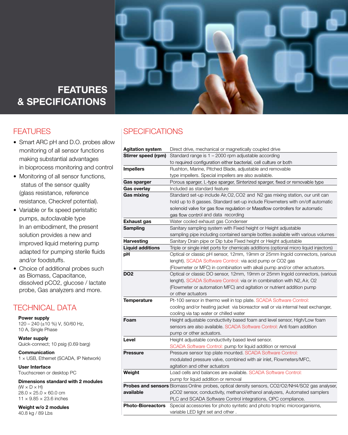

## FEATURES FEATURES **FEATURES** FEATURES & SPECIFICATIONS & SPECIFICATIONS **& SPECIFICATIONS** & SPECIFICATIONS

## FEATURI

- monitoring of all sensor functions making substantial advantages in bioprocess monitoring and control • Smart ARC pH and D.O. probes allow
- Monitoring of all sensor functions, status of the sensor quality extence (glass resistance, reference resistance, Checkref potential).
- Variable or fix speed peristaltic pumps, autoclavable type in an embodiment, the present solution provides a new and improved liquid metering pump adapted for pumping sterile fluids and/or foodstuffs.
- Choice of additional probes such as Biomass, Capacitance, dissolved pCO2, glucose / lactate probe, Gas analyzers and more.

## TECHNICAL DATA

**Power supply**  $120 - 240 \ (\pm 10 \ \%)$ 120 – 240 (±10 %) V, 50/60 Hz, 10 A, Single Phase

**Water supply** water supply<br>Quick-connect; 10 psig (0.69 barg)

**Communication** 1 × USB, Ethernet (SCADA, IP Network)

**User Interface** Touchscreen or desktop PC

> **Dimensions standard with 2 modules**  $(W \times D \times H)$  $28.0 \times 25.0 \times 60.0$  cm 11 × 9.85 × 23.6 inches

**Weight w/o 2 modules** 40.8 kg / 89 Lbs

## FEATURES SPECIFICATIONS

| <b>Agitation system</b>  | Direct drive, mechanical or magnetically coupled drive                                          |
|--------------------------|-------------------------------------------------------------------------------------------------|
| Stirrer speed (rpm)      | Standard range is 1 - 2000 rpm adjustable according                                             |
|                          | to required configuration either bacterial, cell culture or both                                |
| <b>Impellers</b>         | Rushton, Marine, Pitched Blade, adjustable and removable                                        |
|                          | type impellers. Special impellers are also available.                                           |
| Gas sparger              | Porous sparger, L-type sparger, Sinterized sparger, fixed or removable type                     |
| Gas overlay              | Included as standard feature                                                                    |
| Gas mixing               | Standard set-up include Air, O2, CO2 and N2 gas mixing station, our unit can                    |
|                          | hold up to 8 gasses. Standard set-up include Flowmeters with on/off automatic                   |
|                          | solenoid valve for gas flow regulation or Massflow controllers for automatic                    |
|                          | gas flow control and data recording                                                             |
| <b>Exhaust gas</b>       | Water cooled exhaust gas Condenser                                                              |
| Sampling                 | Sanitary sampling system with Fixed height or Height adjustable                                 |
|                          | sampling pipe including contained sample bottles available with various volumes                 |
| Harvesting               | Sanitary Drain pipe or Dip tube Fixed height or Height adjustable                               |
| <b>Liquid additions</b>  | Triple or single inlet ports for chemicals additions (optional micro liquid injectors)          |
| pН                       | Optical or classic pH sensor, 12mm, 19mm or 25mm Ingold connectors, (various                    |
|                          | lenght). SCADA Software Control: via acid pump or CO2 gas                                       |
|                          | (Flowmeter or MFC) in combination with alkali pump and/or other actuators.                      |
| DO <sub>2</sub>          | Optical or classic DO sensor, 12mm, 19mm or 25mm Ingold connectors, (various                    |
|                          | lenght). SCADA Software Control: via or in combination with N2, Air, O2                         |
|                          | (Flowmeter or automation MFC) and agitation or nutrient addition pump                           |
|                          | or other actuators                                                                              |
| <b>Temperature</b>       | Pt-100 sensor in thermo well in top plate. SCADA Software Control:                              |
|                          | cooling and/or heating jacket via bioreactor wall or via internal heat exchanger,               |
|                          | cooling via tap water or chilled water                                                          |
| Foam                     | Height adjustable conductivity based foam and level sensor, High/Low foam                       |
|                          | sensors are also available, SCADA Software Control: Anti foam addition                          |
|                          | pump or other actuators.                                                                        |
| Level                    | Height adjustable conductivity based level sensor.                                              |
|                          | SCADA Software Control: pump for liquid addition or removal                                     |
| <b>Pressure</b>          | Pressure sensor top plate mounted. SCADA Software Control:                                      |
|                          | modulated pressure valve, combined with air inlet, Flowmeters/MFC,                              |
|                          | agitation and other actuators                                                                   |
| Weight                   | Load cells and balances are available. SCADA Software Control:                                  |
|                          | pump for liquid addition or removal                                                             |
|                          | Probes and sensors Biomass Online probes, optical density sensors, CO2/O2/NH4/SO2 gas analyser, |
| available                | pCO2 sensor, conductivity, methanol/ethanol analyzers, Automated samplers                       |
|                          | PLC and SCADA Software Control integrations, OPC compliance.                                    |
|                          | Special accessories for photo syntetic and photo trophic microorganisms,                        |
| <b>Photo-Bioreactors</b> |                                                                                                 |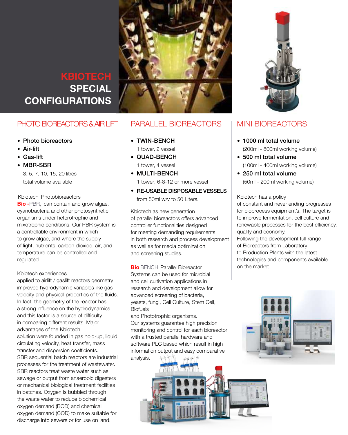

### DIACHROM SPECIAL **CONFIGURATION** SPECIAL **CONFIGUR** DIACHROM SPECIAL SPECIAL SOLIDA BIOTECH SOLIDA BIOTECH **KBIOTECH** DIACHROM SPECIAL SPECIAL **CONFIGURAT** DIACHROM SPECIAL CONFIGURATION  **SPECIAL CONFIGURATIONS**

## PHOTO BIOREACTORS &

- TWIN-BENCH • Photo bioreactors
- $\cdot$   $\sim$   $\sim$   $\sim$ • Air-lift
- Gas-lift
- MBR-SBR

 $\beta$ , 5 total volume available  $3,$ multiple 3, 5, 7, 10, 15, 20 litres

KDIOTECH PHOTODION **Bio -** PBR, can contain and grow algae, Cyanobacteria and other photosynthetic<br>cyanobacteria and other photosynthetic organisms under heterotrophic and mixotrophic conditions. Our PBR system is a controllable environment in which to grow algae, and where the supply or light, hamento, carbor algaed, an, temperature can be controlled and regulated. **Biography Biography** and grow algae, 1 tower, 6-8-12 or more vessel to grow algab, and whore the supply<br>of light, nutrients, carbon dioxide, air, and of light, nutrients, carbon dioxide, air, and KNOTECH PHOTODIOTECH **Bio -** PBR, can contain and grow algae, regulated. Kbiotech Photobioreactors regulated. Kbiotech Photobioreactors **Bio** Bench Parallel Bioreactor of light, number discussed and analysis of the state of the state of the state of the state of the state of the state of the state of the state of the state of the state of the state of the state of the state of the state temperature can be controlled and be controlled and controlled and controlled and controlled and controlled and controlled and controlled and controlled and controlled and controlled and controlled and controlled and contr

### Kbiotech experiences Kbiotech experiences

applied to airlift / gaslift reactors geometry improved hydrodynamic variables like gas In fact, the geometry of the reactor has a strong influence on the hydrodynamics Biofuels and this factor is a source of difficulty in comparing different results. Major advantages of the Kbiotech solution were founded in gas hold-up, liquid SBR sequential batch reactors are industrial analysis.  $\forall$ processes for the treatment of wastewater. processes for the treatment of wastewater. sewage or output from anaerobic digesters **for the tractment of waster.** The tractment of waste sewage or output from anaerobic digesters<br>or mechanical biological treatment facilities oxygen demand (COD) to make suitable for the waste waste was to reduce biochemical waste was to reduce biochemical waste was to reduce biochemical waste was to reduce biochemical waste was to reduce biochemical waste was t discharge into sewers or for use on land. velocity and physical properties of the fluids. circulating velocity, heat transfer, mass transfer and dispersion coefficients. SBR reactors treat waste water such as in batches. Oxygen is bubbled through the waste water to reduce biochemical oxygen demand (BOD) and chemical

### AR LIFT | PARALLEL BIOREACTORS SPECIAL BIOREACTORS

- $\bullet$  TWIN-BENCH SPECIAL BIOREACTORS SPECIAL BIORES
	- 1 tower, 2 vessel Air-lift
		- MBR-SBR • QUAD-BENCH 1 tower, 4 vessel Gas-lift

MBR-SBR

Air-lift Gas-lift

Air-lift Gas-lift

MBR-SBR

regulated.

- MULTI-BENCH
- $1$  tower, 6-8-12 or more vessel
- from 50ml w/v to 50 Liters. ● RE-USABLE DISPOSABLE VESSELS  $SSELS$  and  $SSELS$  and  $SSELS$  and  $SSEES$  in  $SSEES$  and  $SSEES$  and  $SSEES$  and  $SSEES$  and  $SSEES$  and  $SSEES$  and  $SSEES$  and  $SSEES$  and  $SSEES$  and  $SSEES$  and  $SSEES$  and  $SSEES$  and  $SSEES$  and  $SSEES$  and  $SSEES$  and  $SSEES$  and  $SSEES$  and  $SSEES$  and  $S$ **Bio -** PBR, can contain and grow algae,

cyanobacteria and other photosynthetic Photobioreactors cyanobacteria and other photosynthetic Photobioreactors cyanobacteria and other photosynthetic Photobioreactors naises<br>d<br>of parallel bioreactors offers advanced system is controller functionalities designed Forganisms under heterotrophic and and and and and a controllable environment in the controllable environment s phy in both research and process development air, and as well as for media optimization temperature can be controlled and supply temperature can be controlled and supply temperature can be controlled and screening studies. of light, nutrients, carbon dioxide, air, and **Biotech as new generation** is controller functionalities designed and screening studies.

Systems can be used for microbial  $\epsilon$  and cell cultivation applications in like gas research and development allow for f the fluids. advanced screening of bacteria, or has yeasts, fungi, Cell Culture, Stem Cell, namics Biofuels on the market  $\sim$ **Bio** BENCH Parallel Bioreactor  $t$ ents availables availables availables availables availables availables availables availables availables availables availables availables availables availables availables availables availables availables availables avai in the matrix  $\Box$ technologies and components available on the market .

culty and Phototrophic organisms. jor Our systems guarantee high precision monitoring and control for each bioreactor  $d$ -up, liquid  $\parallel$  with a trusted parallel hardware and mass software PLC based which result in high ts. **information output and easy comparative**  $\textsf{lustrial}$  analysis.  $\texttt{diff}$   $\texttt{f}$ 



## MINI BIOREACTORS MINI BIOREACTORS MINI BIOREACTORS MINI BIOREACTORS

MINI BIOREACTORS

- 1000 ml total volume 1000 ml total volume 1000 ml total volume 1000 ml total volume (200ml - 800ml working volume) MINI BIOREACTORS MINI BIOREACTORS
	- $\bullet$  500 ml total volume (100ml - 400ml working volume) 500 ml total volume (100ml - 400ml working volume) 500 ml total volume (100ml - 400ml working volume) 500 ml total volume (100ml - 400ml working volume) 500 ml total volume
	- $\bullet$  250 ml total volume (50ml - 200ml working volume) 250 ml total volume (50ml - 200ml working volume) 250 ml total volume (50ml - 200ml working volume) 250 ml total volume (50ml - 200ml working volume) 250 ml total volume

Solida Biotech has of constant and never ending progresses or constant and never ending progresses<br>for bioprocess equipment's. The target is anced to improve fermentation, cell culture and reflected<br>of the million contribution, contributed and<br>the meanwhile processes for the best efficiency, to improve ferments quality and economy. evelopment Following the development full range quality and economy. The conomy and economist and except<br>
of Bioreactors from Laboratory KDIOTECH has a policy  $\begin{array}{c|c} \textsf{LS} & \textsf{Kbiotechn} \textsf{has a policy} \end{array}$ (50ml - 200ml working volume)

to Production Plants with the latest technologies and components available to Production Plants with the latest the latest states with the latest states with the market . technologies and components available

on the market .



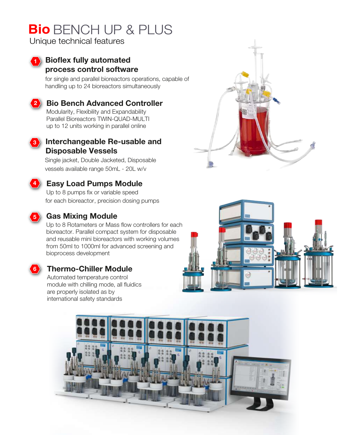# **Bio** BENCH UP & PLUS

Unique technical features

**2**

### **Bioflex fully automated 1 process control software**

for single and parallel bioreactors operations, capable of handling up to 24 bioreactors simultaneously

## **DiaBench Advanced Controller Bio Bench Advanced Controller**

modularity, Flexibility and Expandability<br>Parallel Bioreactors TWIN-QUAD-MULTI up to 12 units working in parallel online Modularity, Flexibility and Expandability



### **Interchangeable Re-usable and 3 Disposable Vessels**

 Single jacket, Double Jacketed, Disposable vessels available range 50mL - 20L w/v

## **Easy Load Pumps Easy Load Pumps Module**

Up to 8 pumps fix or variable speed for each bioreactor, precision dosing pumps



**4**

## **Gas Mixing Module**

Up to 8 Rotameters or Mass flow controllers for each bioreactor. Parallel compact system for disposable and reusable mini bioreactors with working volumes from 50ml to 1000ml for advanced screening and bioprocess development



## **Thermo-Chiller Module**

Automated temperature control module with chilling mode, all fluidics are properly isolated as by international safety standards